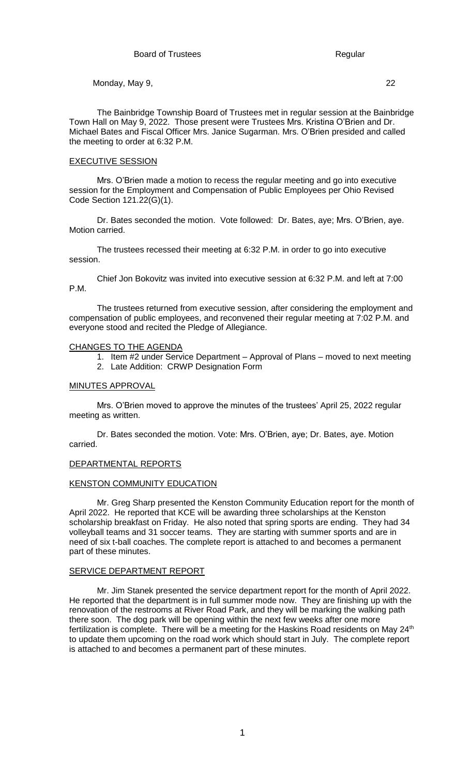The Bainbridge Township Board of Trustees met in regular session at the Bainbridge Town Hall on May 9, 2022. Those present were Trustees Mrs. Kristina O'Brien and Dr. Michael Bates and Fiscal Officer Mrs. Janice Sugarman. Mrs. O'Brien presided and called the meeting to order at 6:32 P.M.

#### EXECUTIVE SESSION

Mrs. O'Brien made a motion to recess the regular meeting and go into executive session for the Employment and Compensation of Public Employees per Ohio Revised Code Section 121.22(G)(1).

Dr. Bates seconded the motion. Vote followed: Dr. Bates, aye; Mrs. O'Brien, aye. Motion carried.

The trustees recessed their meeting at 6:32 P.M. in order to go into executive session.

Chief Jon Bokovitz was invited into executive session at 6:32 P.M. and left at 7:00 P.M.

The trustees returned from executive session, after considering the employment and compensation of public employees, and reconvened their regular meeting at 7:02 P.M. and everyone stood and recited the Pledge of Allegiance.

#### CHANGES TO THE AGENDA

- 1. Item #2 under Service Department Approval of Plans moved to next meeting
- 2. Late Addition: CRWP Designation Form

### MINUTES APPROVAL

Mrs. O'Brien moved to approve the minutes of the trustees' April 25, 2022 regular meeting as written.

Dr. Bates seconded the motion. Vote: Mrs. O'Brien, aye; Dr. Bates, aye. Motion carried.

#### DEPARTMENTAL REPORTS

### KENSTON COMMUNITY EDUCATION

Mr. Greg Sharp presented the Kenston Community Education report for the month of April 2022. He reported that KCE will be awarding three scholarships at the Kenston scholarship breakfast on Friday. He also noted that spring sports are ending. They had 34 volleyball teams and 31 soccer teams. They are starting with summer sports and are in need of six t-ball coaches. The complete report is attached to and becomes a permanent part of these minutes.

#### SERVICE DEPARTMENT REPORT

Mr. Jim Stanek presented the service department report for the month of April 2022. He reported that the department is in full summer mode now. They are finishing up with the renovation of the restrooms at River Road Park, and they will be marking the walking path there soon. The dog park will be opening within the next few weeks after one more fertilization is complete. There will be a meeting for the Haskins Road residents on May  $24<sup>th</sup>$ to update them upcoming on the road work which should start in July. The complete report is attached to and becomes a permanent part of these minutes.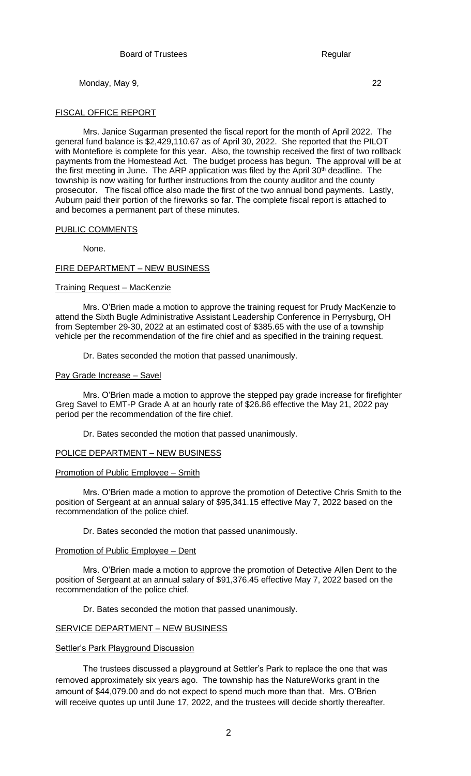### FISCAL OFFICE REPORT

Mrs. Janice Sugarman presented the fiscal report for the month of April 2022. The general fund balance is \$2,429,110.67 as of April 30, 2022. She reported that the PILOT with Montefiore is complete for this year. Also, the township received the first of two rollback payments from the Homestead Act. The budget process has begun. The approval will be at the first meeting in June. The ARP application was filed by the April 30<sup>th</sup> deadline. The township is now waiting for further instructions from the county auditor and the county prosecutor. The fiscal office also made the first of the two annual bond payments. Lastly, Auburn paid their portion of the fireworks so far. The complete fiscal report is attached to and becomes a permanent part of these minutes.

# PUBLIC COMMENTS

None.

# FIRE DEPARTMENT – NEW BUSINESS

# Training Request – MacKenzie

Mrs. O'Brien made a motion to approve the training request for Prudy MacKenzie to attend the Sixth Bugle Administrative Assistant Leadership Conference in Perrysburg, OH from September 29-30, 2022 at an estimated cost of \$385.65 with the use of a township vehicle per the recommendation of the fire chief and as specified in the training request.

Dr. Bates seconded the motion that passed unanimously.

# Pay Grade Increase – Savel

Mrs. O'Brien made a motion to approve the stepped pay grade increase for firefighter Greg Savel to EMT-P Grade A at an hourly rate of \$26.86 effective the May 21, 2022 pay period per the recommendation of the fire chief.

Dr. Bates seconded the motion that passed unanimously.

#### POLICE DEPARTMENT – NEW BUSINESS

#### Promotion of Public Employee – Smith

Mrs. O'Brien made a motion to approve the promotion of Detective Chris Smith to the position of Sergeant at an annual salary of \$95,341.15 effective May 7, 2022 based on the recommendation of the police chief.

Dr. Bates seconded the motion that passed unanimously.

#### Promotion of Public Employee – Dent

Mrs. O'Brien made a motion to approve the promotion of Detective Allen Dent to the position of Sergeant at an annual salary of \$91,376.45 effective May 7, 2022 based on the recommendation of the police chief.

Dr. Bates seconded the motion that passed unanimously.

### SERVICE DEPARTMENT – NEW BUSINESS

#### **Settler's Park Playground Discussion**

The trustees discussed a playground at Settler's Park to replace the one that was removed approximately six years ago. The township has the NatureWorks grant in the amount of \$44,079.00 and do not expect to spend much more than that. Mrs. O'Brien will receive quotes up until June 17, 2022, and the trustees will decide shortly thereafter.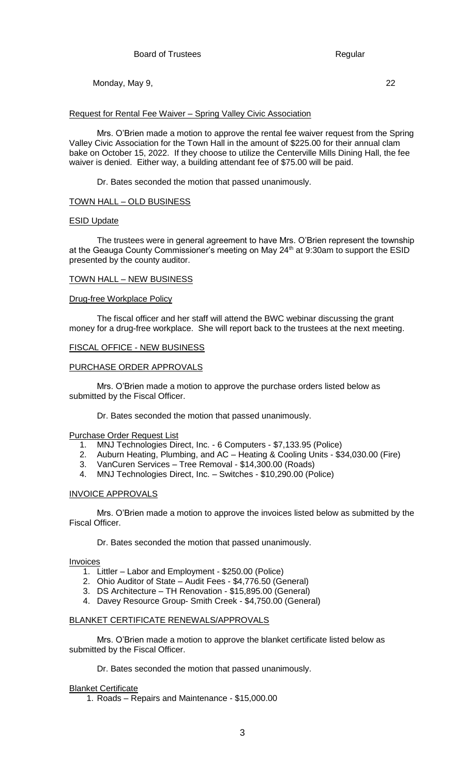# Request for Rental Fee Waiver – Spring Valley Civic Association

Mrs. O'Brien made a motion to approve the rental fee waiver request from the Spring Valley Civic Association for the Town Hall in the amount of \$225.00 for their annual clam bake on October 15, 2022. If they choose to utilize the Centerville Mills Dining Hall, the fee waiver is denied. Either way, a building attendant fee of \$75.00 will be paid.

Dr. Bates seconded the motion that passed unanimously.

# TOWN HALL – OLD BUSINESS

#### ESID Update

The trustees were in general agreement to have Mrs. O'Brien represent the township at the Geauga County Commissioner's meeting on May  $24<sup>th</sup>$  at 9:30am to support the ESID presented by the county auditor.

#### TOWN HALL – NEW BUSINESS

### Drug-free Workplace Policy

The fiscal officer and her staff will attend the BWC webinar discussing the grant money for a drug-free workplace. She will report back to the trustees at the next meeting.

# FISCAL OFFICE - NEW BUSINESS

# PURCHASE ORDER APPROVALS

Mrs. O'Brien made a motion to approve the purchase orders listed below as submitted by the Fiscal Officer.

Dr. Bates seconded the motion that passed unanimously.

#### Purchase Order Request List

- 1. MNJ Technologies Direct, Inc. 6 Computers \$7,133.95 (Police)
- 2. Auburn Heating, Plumbing, and AC Heating & Cooling Units \$34,030.00 (Fire)
- 3. VanCuren Services Tree Removal \$14,300.00 (Roads)
- 4. MNJ Technologies Direct, Inc. Switches \$10,290.00 (Police)

#### INVOICE APPROVALS

Mrs. O'Brien made a motion to approve the invoices listed below as submitted by the Fiscal Officer.

Dr. Bates seconded the motion that passed unanimously.

#### Invoices

- 1. Littler Labor and Employment \$250.00 (Police)
- 2. Ohio Auditor of State Audit Fees \$4,776.50 (General)
- 3. DS Architecture TH Renovation \$15,895.00 (General)
- 4. Davey Resource Group- Smith Creek \$4,750.00 (General)

#### BLANKET CERTIFICATE RENEWALS/APPROVALS

Mrs. O'Brien made a motion to approve the blanket certificate listed below as submitted by the Fiscal Officer.

Dr. Bates seconded the motion that passed unanimously.

#### **Blanket Certificate**

1. Roads – Repairs and Maintenance - \$15,000.00